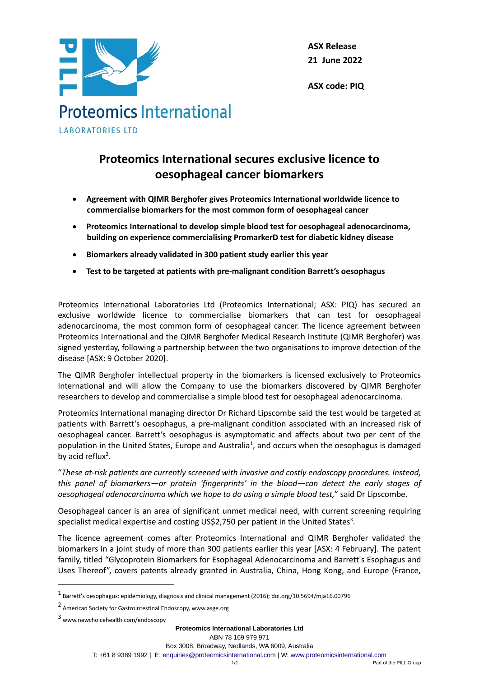

**ASX Release 21 June 2022**

**ASX code: PIQ**

# **Proteomics International secures exclusive licence to oesophageal cancer biomarkers**

- **Agreement with QIMR Berghofer gives Proteomics International worldwide licence to commercialise biomarkers for the most common form of oesophageal cancer**
- **Proteomics International to develop simple blood test for oesophageal adenocarcinoma, building on experience commercialising PromarkerD test for diabetic kidney disease**
- **Biomarkers already validated in 300 patient study earlier this year**
- **Test to be targeted at patients with pre-malignant condition Barrett's oesophagus**

Proteomics International Laboratories Ltd (Proteomics International; ASX: PIQ) has secured an exclusive worldwide licence to commercialise biomarkers that can test for oesophageal adenocarcinoma, the most common form of oesophageal cancer. The licence agreement between Proteomics International and the QIMR Berghofer Medical Research Institute (QIMR Berghofer) was signed yesterday, following a partnership between the two organisations to improve detection of the disease [ASX: 9 October 2020].

The QIMR Berghofer intellectual property in the biomarkers is licensed exclusively to Proteomics International and will allow the Company to use the biomarkers discovered by QIMR Berghofer researchers to develop and commercialise a simple blood test for oesophageal adenocarcinoma.

Proteomics International managing director Dr Richard Lipscombe said the test would be targeted at patients with Barrett's oesophagus, a pre-malignant condition associated with an increased risk of oesophageal cancer. Barrett's oesophagus is asymptomatic and affects about two per cent of the population in the United States, Europe and Australia<sup>1</sup>, and occurs when the oesophagus is damaged by acid reflux<sup>2</sup>.

"*These at-risk patients are currently screened with invasive and costly endoscopy procedures. Instead, this panel of biomarkers—or protein 'fingerprints' in the blood—can detect the early stages of oesophageal adenocarcinoma which we hope to do using a simple blood test,*" said Dr Lipscombe.

Oesophageal cancer is an area of significant unmet medical need, with current screening requiring specialist medical expertise and costing US\$2,750 per patient in the United States<sup>3</sup>.

The licence agreement comes after Proteomics International and QIMR Berghofer validated the biomarkers in a joint study of more than 300 patients earlier this year [ASX: 4 February]. The patent family, titled "Glycoprotein Biomarkers for Esophageal Adenocarcinoma and Barrett's Esophagus and Uses Thereof", covers patents already granted in Australia, China, Hong Kong, and Europe (France,

<sup>1</sup> Barrett's oesophagus: epidemiology, diagnosis and clinical management (2016); doi.org/10.5694/mja16.00796

<sup>2</sup> American Society for Gastrointestinal Endoscopy, www.asge.org

<sup>3</sup> [www.newchoicehealth.com/endoscopy](http://www.newchoicehealth.com/endoscopy)